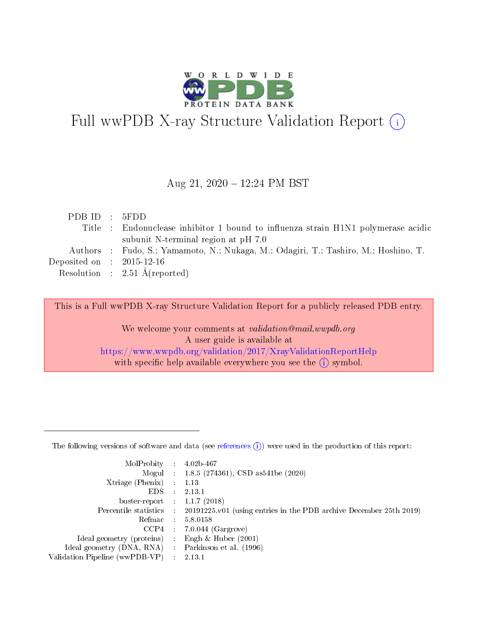

# Full wwPDB X-ray Structure Validation Report (i)

#### Aug 21, 2020 12:24 PM BST

| PDBID : 5FDD                   |                                                                                     |
|--------------------------------|-------------------------------------------------------------------------------------|
|                                | Title : Endonuclease inhibitor 1 bound to influenza strain H1N1 polymerase acidic   |
|                                | subunit N-terminal region at pH 7.0                                                 |
|                                | Authors : Fudo, S.; Yamamoto, N.; Nukaga, M.; Odagiri, T.; Tashiro, M.; Hoshino, T. |
| Deposited on $\;$ : 2015-12-16 |                                                                                     |
|                                | Resolution : $2.51 \text{ Å}$ (reported)                                            |
|                                |                                                                                     |

This is a Full wwPDB X-ray Structure Validation Report for a publicly released PDB entry.

We welcome your comments at validation@mail.wwpdb.org A user guide is available at <https://www.wwpdb.org/validation/2017/XrayValidationReportHelp> with specific help available everywhere you see the  $(i)$  symbol.

The following versions of software and data (see [references](https://www.wwpdb.org/validation/2017/XrayValidationReportHelp#references)  $(1)$ ) were used in the production of this report:

| $MolProbability$ 4.02b-467     |   |                                                                                            |
|--------------------------------|---|--------------------------------------------------------------------------------------------|
|                                |   | Mogul : 1.8.5 (274361), CSD as 541be (2020)                                                |
| $X$ triage (Phenix) :          |   | 1.13                                                                                       |
| EDS.                           |   | 2.13.1                                                                                     |
| buster-report : $1.1.7(2018)$  |   |                                                                                            |
|                                |   | Percentile statistics : 20191225.v01 (using entries in the PDB archive December 25th 2019) |
| Refmac                         |   | 5.8.0158                                                                                   |
| CCP4                           |   | $7.0.044$ (Gargrove)                                                                       |
| Ideal geometry (proteins)      |   | Engh $\&$ Huber (2001)                                                                     |
| Ideal geometry (DNA, RNA) :    |   | Parkinson et al. (1996)                                                                    |
| Validation Pipeline (wwPDB-VP) | ÷ | 2.13.1                                                                                     |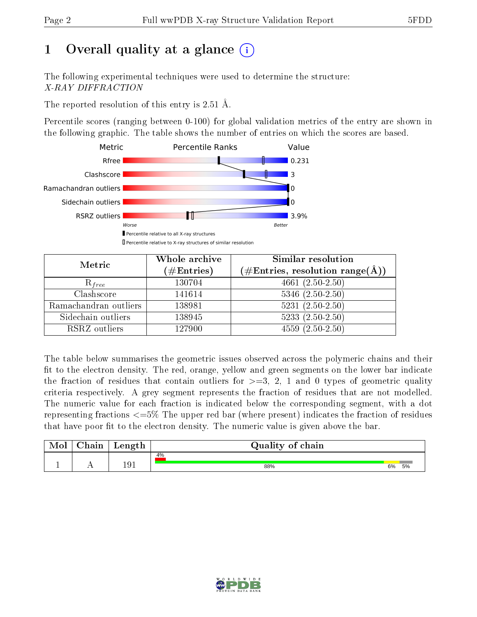# 1 [O](https://www.wwpdb.org/validation/2017/XrayValidationReportHelp#overall_quality)verall quality at a glance  $(i)$

The following experimental techniques were used to determine the structure: X-RAY DIFFRACTION

The reported resolution of this entry is 2.51 Å.

Percentile scores (ranging between 0-100) for global validation metrics of the entry are shown in the following graphic. The table shows the number of entries on which the scores are based.



| Metric                | Whole archive<br>$(\#\mathrm{Entries})$ | Similar resolution<br>$(\#\text{Entries},\,\text{resolution}\,\,\text{range}(\textup{\AA}))$ |
|-----------------------|-----------------------------------------|----------------------------------------------------------------------------------------------|
| $R_{free}$            | 130704                                  | $4661 (2.50 - 2.50)$                                                                         |
| Clashscore            | 141614                                  | $5346$ $(2.50-2.50)$                                                                         |
| Ramachandran outliers | 138981                                  | $5231 (2.50 - 2.50)$                                                                         |
| Sidechain outliers    | 138945                                  | $5233(2.50-2.50)$                                                                            |
| RSRZ outliers         | 127900                                  | $4559(2.50-2.50)$                                                                            |

The table below summarises the geometric issues observed across the polymeric chains and their fit to the electron density. The red, orange, yellow and green segments on the lower bar indicate the fraction of residues that contain outliers for  $>=3, 2, 1$  and 0 types of geometric quality criteria respectively. A grey segment represents the fraction of residues that are not modelled. The numeric value for each fraction is indicated below the corresponding segment, with a dot representing fractions  $\epsilon=5\%$  The upper red bar (where present) indicates the fraction of residues that have poor fit to the electron density. The numeric value is given above the bar.

| Mol | $\cap$ hain | Length | Quality of chain |    |    |  |  |  |  |
|-----|-------------|--------|------------------|----|----|--|--|--|--|
|     |             |        | 4%               |    |    |  |  |  |  |
|     |             | 191    | 88%              | 6% | 5% |  |  |  |  |

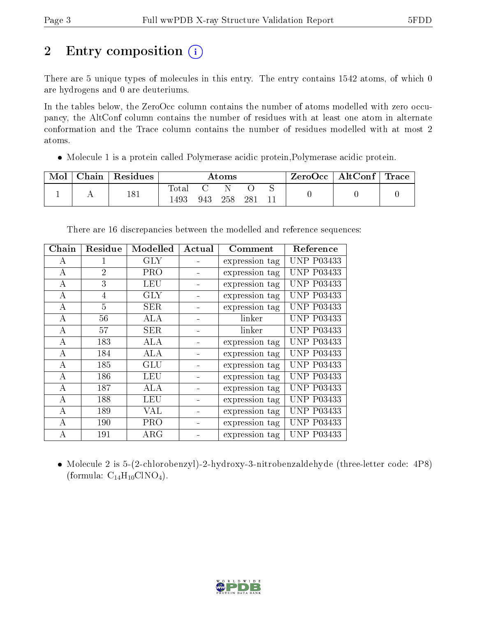# 2 Entry composition (i)

There are 5 unique types of molecules in this entry. The entry contains 1542 atoms, of which 0 are hydrogens and 0 are deuteriums.

In the tables below, the ZeroOcc column contains the number of atoms modelled with zero occupancy, the AltConf column contains the number of residues with at least one atom in alternate conformation and the Trace column contains the number of residues modelled with at most 2 atoms.

Molecule 1 is a protein called Polymerase acidic protein,Polymerase acidic protein.

| Mol | Chain   Residues | Atoms          |     |     | ZeroOcc | $\vert$ AltConf $\vert$ Trace $\vert$ |  |  |  |
|-----|------------------|----------------|-----|-----|---------|---------------------------------------|--|--|--|
|     | 181              | Total<br>! 493 | 943 | 258 | 28.     |                                       |  |  |  |

| Chain          | Residue        | Modelled   | Actual | Comment        | Reference         |
|----------------|----------------|------------|--------|----------------|-------------------|
| A              |                | $\rm GLY$  |        | expression tag | <b>UNP P03433</b> |
| А              | $\overline{2}$ | PRO        |        | expression tag | <b>UNP P03433</b> |
| А              | 3              | <b>LEU</b> |        | expression tag | <b>UNP P03433</b> |
| А              | 4              | GLY        |        | expression tag | <b>UNP P03433</b> |
| $\bf{A}$       | $\overline{5}$ | <b>SER</b> |        | expression tag | <b>UNP P03433</b> |
| A              | 56             | ALA        |        | linker         | <b>UNP P03433</b> |
| $\overline{A}$ | 57             | <b>SER</b> |        | linker         | <b>UNP P03433</b> |
| А              | 183            | ALA        |        | expression tag | <b>UNP P03433</b> |
| A              | 184            | ALA        |        | expression tag | <b>UNP P03433</b> |
| А              | 185            | GLU        |        | expression tag | <b>UNP P03433</b> |
| А              | 186            | LEU        |        | expression tag | <b>UNP P03433</b> |
| $\mathbf{A}$   | 187            | ALA        |        | expression tag | <b>UNP P03433</b> |
| А              | 188            | LEU        |        | expression tag | <b>UNP P03433</b> |
| А              | 189            | VAL        |        | expression tag | <b>UNP P03433</b> |
| А              | 190            | <b>PRO</b> |        | expression tag | <b>UNP P03433</b> |
| А              | 191            | $\rm{ARG}$ |        | expression tag | <b>UNP P03433</b> |

There are 16 discrepancies between the modelled and reference sequences:

 Molecule 2 is 5-(2-chlorobenzyl)-2-hydroxy-3-nitrobenzaldehyde (three-letter code: 4P8) (formula:  $C_{14}H_{10}CINO_4$ ).

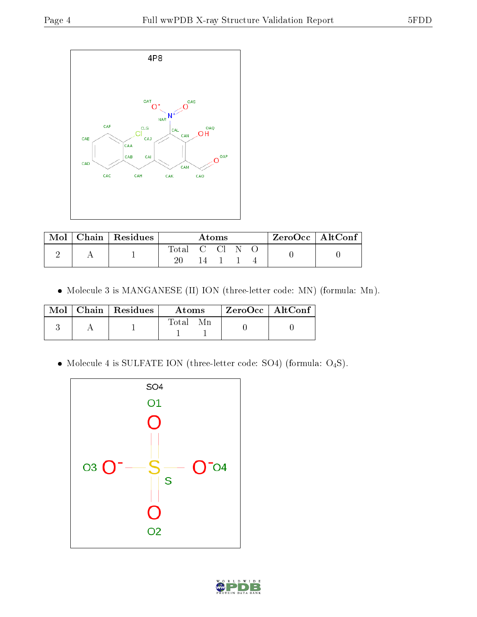

| Mol | Chain   Residues | Atoms      |     |  |  | $\rm ZeroOcc \mid AltConf$ |  |  |
|-----|------------------|------------|-----|--|--|----------------------------|--|--|
|     |                  | Total C Cl |     |  |  |                            |  |  |
|     |                  |            | 14. |  |  |                            |  |  |

Molecule 3 is MANGANESE (II) ION (three-letter code: MN) (formula: Mn).

|  | $Mol$   Chain   Residues | A toms | $ZeroOcc$   AltConf |  |
|--|--------------------------|--------|---------------------|--|
|  |                          | Total  |                     |  |

Molecule 4 is SULFATE ION (three-letter code: SO4) (formula: O4S).



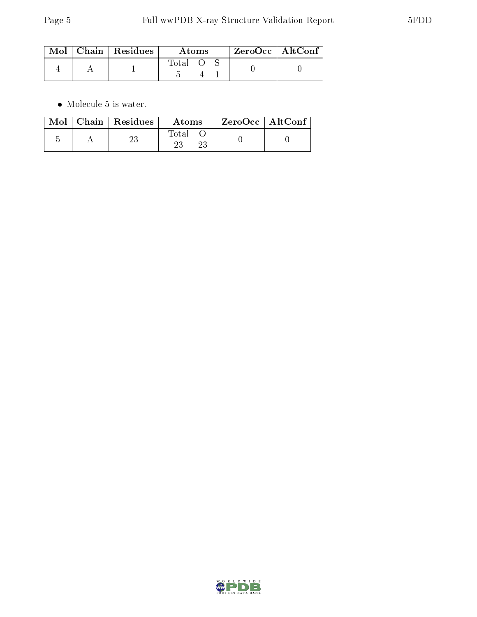|  | $\text{Mol}$   Chain   Residues | Atoms |  |  | $ZeroOcc$   AltConf |
|--|---------------------------------|-------|--|--|---------------------|
|  |                                 | Total |  |  |                     |

 $\bullet\,$  Molecule 5 is water.

|  | $\text{Mol}$   Chain   Residues | <b>Atoms</b> | $\rm{ZeroOcc}$   AltConf |  |
|--|---------------------------------|--------------|--------------------------|--|
|  | 23                              | Total        |                          |  |

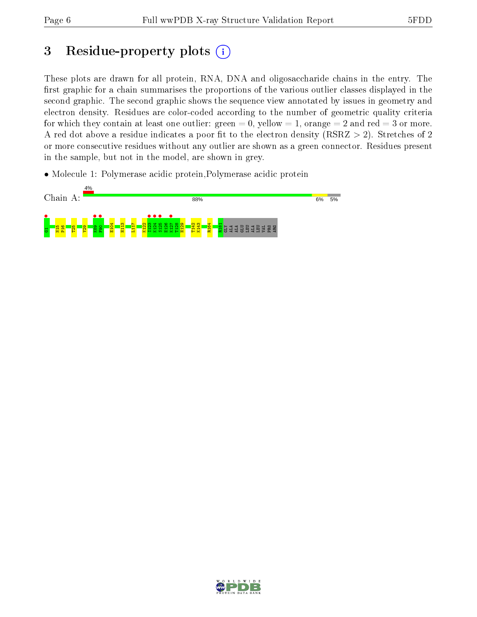## 3 Residue-property plots  $(i)$

These plots are drawn for all protein, RNA, DNA and oligosaccharide chains in the entry. The first graphic for a chain summarises the proportions of the various outlier classes displayed in the second graphic. The second graphic shows the sequence view annotated by issues in geometry and electron density. Residues are color-coded according to the number of geometric quality criteria for which they contain at least one outlier: green  $= 0$ , yellow  $= 1$ , orange  $= 2$  and red  $= 3$  or more. A red dot above a residue indicates a poor fit to the electron density ( $RSRZ > 2$ ). Stretches of 2 or more consecutive residues without any outlier are shown as a green connector. Residues present in the sample, but not in the model, are shown in grey.

• Molecule 1: Polymerase acidic protein, Polymerase acidic protein



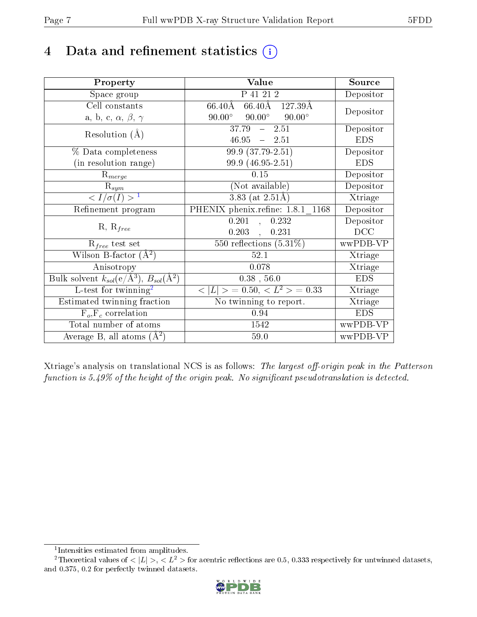## 4 Data and refinement statistics  $(i)$

| Property                                                             | Value                                           | Source     |
|----------------------------------------------------------------------|-------------------------------------------------|------------|
| Space group                                                          | $\overline{P}$ 41 21 2                          | Depositor  |
| Cell constants                                                       | 66.40Å 127.39Å<br>66.40Å                        | Depositor  |
| a, b, c, $\alpha$ , $\beta$ , $\gamma$                               | $90.00^\circ$<br>$90.00^\circ$<br>$90.00^\circ$ |            |
| Resolution $(A)$                                                     | $37.79 - 2.51$                                  | Depositor  |
|                                                                      | $46.95 - 2.51$                                  | <b>EDS</b> |
| % Data completeness                                                  | $99.9(37.79-2.51)$                              | Depositor  |
| (in resolution range)                                                | 99.9 (46.95-2.51)                               | <b>EDS</b> |
| $R_{merge}$                                                          | 0.15                                            | Depositor  |
| $\mathrm{R}_{sym}$                                                   | (Not available)                                 | Depositor  |
| $\langle I/\sigma(I) \rangle^{-1}$                                   | $3.83$ (at 2.51Å)                               | Xtriage    |
| Refinement program                                                   | PHENIX phenix.refine: 1.8.1 1168                | Depositor  |
| $R, R_{free}$                                                        | 0.201<br>0.232<br>$\mathcal{L}_{\mathcal{A}}$   | Depositor  |
|                                                                      | $0.203$ , $0.231$                               | DCC        |
| $R_{free}$ test set                                                  | $\overline{550}$ reflections $(5.31\%)$         | wwPDB-VP   |
| Wilson B-factor $(A^2)$                                              | 52.1                                            | Xtriage    |
| Anisotropy                                                           | 0.078                                           | Xtriage    |
| Bulk solvent $k_{sol}(e/\mathring{A}^3)$ , $B_{sol}(\mathring{A}^2)$ | $0.38$ , 56.0                                   | <b>EDS</b> |
| L-test for twinning <sup>2</sup>                                     | $< L >$ = 0.50, $< L2$ = 0.33                   | Xtriage    |
| Estimated twinning fraction                                          | No twinning to report.                          | Xtriage    |
| $\overline{F_o}, \overline{F_c}$ correlation                         | 0.94                                            | <b>EDS</b> |
| Total number of atoms                                                | 1542                                            | wwPDB-VP   |
| Average B, all atoms $(A^2)$                                         | 59.0                                            | wwPDB-VP   |

Xtriage's analysis on translational NCS is as follows: The largest off-origin peak in the Patterson function is  $5.49\%$  of the height of the origin peak. No significant pseudotranslation is detected.

<sup>&</sup>lt;sup>2</sup>Theoretical values of  $\langle |L| \rangle$ ,  $\langle L^2 \rangle$  for acentric reflections are 0.5, 0.333 respectively for untwinned datasets, and 0.375, 0.2 for perfectly twinned datasets.



<span id="page-6-1"></span><span id="page-6-0"></span><sup>1</sup> Intensities estimated from amplitudes.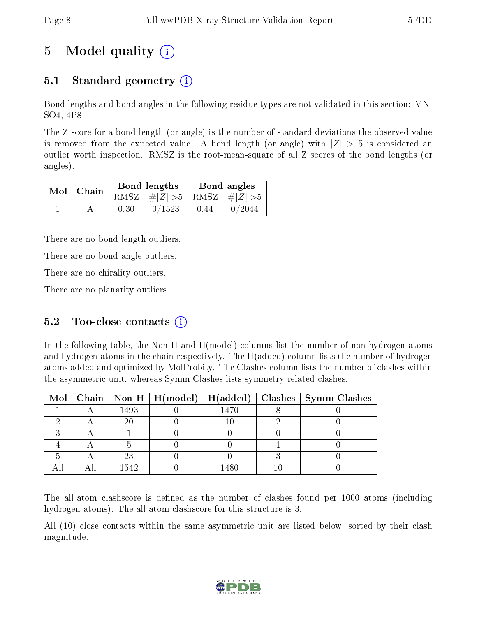# 5 Model quality  $(i)$

## 5.1 Standard geometry  $(i)$

Bond lengths and bond angles in the following residue types are not validated in this section: MN, SO4, 4P8

The Z score for a bond length (or angle) is the number of standard deviations the observed value is removed from the expected value. A bond length (or angle) with  $|Z| > 5$  is considered an outlier worth inspection. RMSZ is the root-mean-square of all Z scores of the bond lengths (or angles).

| $Mol$   Chain |      | Bond lengths                    | Bond angles |        |  |
|---------------|------|---------------------------------|-------------|--------|--|
|               |      | RMSZ $ #Z  > 5$ RMSZ $ #Z  > 5$ |             |        |  |
|               | 0.30 | 0/1523                          | 0.44        | 0/2044 |  |

There are no bond length outliers.

There are no bond angle outliers.

There are no chirality outliers.

There are no planarity outliers.

### 5.2 Too-close contacts  $(i)$

In the following table, the Non-H and H(model) columns list the number of non-hydrogen atoms and hydrogen atoms in the chain respectively. The H(added) column lists the number of hydrogen atoms added and optimized by MolProbity. The Clashes column lists the number of clashes within the asymmetric unit, whereas Symm-Clashes lists symmetry related clashes.

|  |      |      | Mol   Chain   Non-H   H(model)   H(added)   Clashes   Symm-Clashes |
|--|------|------|--------------------------------------------------------------------|
|  | 1493 | 1470 |                                                                    |
|  | 20   |      |                                                                    |
|  |      |      |                                                                    |
|  |      |      |                                                                    |
|  | 23   |      |                                                                    |
|  | 1542 |      |                                                                    |

The all-atom clashscore is defined as the number of clashes found per 1000 atoms (including hydrogen atoms). The all-atom clashscore for this structure is 3.

All (10) close contacts within the same asymmetric unit are listed below, sorted by their clash magnitude.

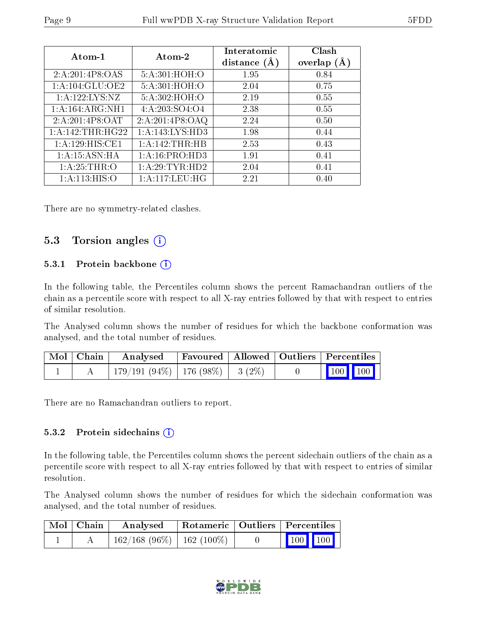| Atom-1              | Atom-2             | Interatomic<br>distance $(\AA)$ | Clash<br>overlap $(\AA)$ |
|---------------------|--------------------|---------------------------------|--------------------------|
| 2:A:201:4P8:OAS     | 5:A:301:HOH:O      | 1.95                            | 0.84                     |
| 1: A: 104: GLU: OE2 | 5:A:301:HOH:O      | 2.04                            | 0.75                     |
| 1:A:122:LYS:NZ      | 5:A:302:HOH:O      | 2.19                            | 0.55                     |
| 1:A:164:ARG:NH1     | 4: A: 203: SO4: O4 | 2.38                            | 0.55                     |
| 2:A:201:4P8:OAT     | 2:A:201:4P8:OAQ    | 2.24                            | 0.50                     |
| 1:A:142:THR:HG22    | 1:A:143:LYS:HD3    | 1.98                            | 0.44                     |
| 1:A:129:HIS:CE1     | 1: A:142:THR:HB    | 2.53                            | 0.43                     |
| 1: A:15: ASN: HA    | 1: A:16: PRO:HD3   | 1.91                            | 0.41                     |
| 1: A:25:THR:O       | 1: A:29:TYR:HD2    | 2.04                            | 0.41                     |
| 1: A:113: HIS:O     | 1: A:117:LEU:HG    | 2.21                            | (0.40)                   |

There are no symmetry-related clashes.

### 5.3 Torsion angles  $(i)$

#### 5.3.1 Protein backbone  $(i)$

In the following table, the Percentiles column shows the percent Ramachandran outliers of the chain as a percentile score with respect to all X-ray entries followed by that with respect to entries of similar resolution.

The Analysed column shows the number of residues for which the backbone conformation was analysed, and the total number of residues.

| $\mid$ Mol $\mid$ Chain $\mid$ | $\boldsymbol{\mathrm{Analysed}}$       |  | Favoured   Allowed   Outliers   Percentiles              |  |
|--------------------------------|----------------------------------------|--|----------------------------------------------------------|--|
|                                | $179/191(94\%)$   176 (98\%)   3 (2\%) |  | $\begin{array}{ c c c }\n\hline\n100 & 100\n\end{array}$ |  |

There are no Ramachandran outliers to report.

#### 5.3.2 Protein sidechains (i)

In the following table, the Percentiles column shows the percent sidechain outliers of the chain as a percentile score with respect to all X-ray entries followed by that with respect to entries of similar resolution.

The Analysed column shows the number of residues for which the sidechain conformation was analysed, and the total number of residues.

| $\mid$ Mol $\mid$ Chain $\mid$ | Analysed                       |  | Rotameric   Outliers   Percentiles                           |  |  |
|--------------------------------|--------------------------------|--|--------------------------------------------------------------|--|--|
|                                | $162/168$ (96\%)   162 (100\%) |  | $\begin{array}{ c c c c c }\n\hline\n100 & 100\n\end{array}$ |  |  |

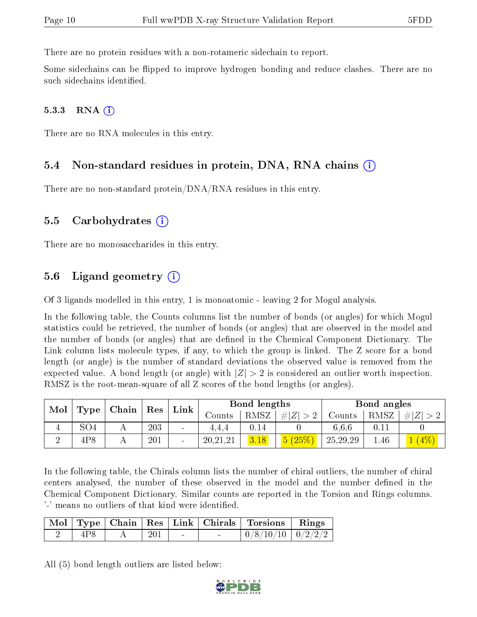There are no protein residues with a non-rotameric sidechain to report.

Some sidechains can be flipped to improve hydrogen bonding and reduce clashes. There are no such sidechains identified.

#### $5.3.3$  RNA  $(i)$

There are no RNA molecules in this entry.

#### 5.4 Non-standard residues in protein, DNA, RNA chains (i)

There are no non-standard protein/DNA/RNA residues in this entry.

#### 5.5 Carbohydrates (i)

There are no monosaccharides in this entry.

### 5.6 Ligand geometry  $(i)$

Of 3 ligands modelled in this entry, 1 is monoatomic - leaving 2 for Mogul analysis.

In the following table, the Counts columns list the number of bonds (or angles) for which Mogul statistics could be retrieved, the number of bonds (or angles) that are observed in the model and the number of bonds (or angles) that are defined in the Chemical Component Dictionary. The Link column lists molecule types, if any, to which the group is linked. The Z score for a bond length (or angle) is the number of standard deviations the observed value is removed from the expected value. A bond length (or angle) with  $|Z| > 2$  is considered an outlier worth inspection. RMSZ is the root-mean-square of all Z scores of the bond lengths (or angles).

| Mol | $\mid$ Chain $\mid$ Res $\mid$<br>Type <sub>1</sub> |  | Link |                | Bond lengths |      |             | Bond angles |      |         |
|-----|-----------------------------------------------------|--|------|----------------|--------------|------|-------------|-------------|------|---------|
|     |                                                     |  |      |                | Counts       | RMSZ | $\# Z  > 2$ | Counts      | RMSZ | $\# Z $ |
| 4   | SO <sub>4</sub>                                     |  | 203  | $\blacksquare$ | 4.4.4        | 0.14 |             | 6.6.6       | 0.11 |         |
|     | 4P8                                                 |  | 201  |                | 20, 21, 21   | 3.18 | 5(25%)      | 25, 29, 29  | 1.46 |         |

In the following table, the Chirals column lists the number of chiral outliers, the number of chiral centers analysed, the number of these observed in the model and the number defined in the Chemical Component Dictionary. Similar counts are reported in the Torsion and Rings columns. '-' means no outliers of that kind were identified.

|     |     |                                   | Mol   Type   Chain   Res   Link   Chirals   Torsions   Rings |  |
|-----|-----|-----------------------------------|--------------------------------------------------------------|--|
| 4P8 | 201 | <b>Contract Contract Contract</b> | $\mid 0/8/10/10 \mid 0/2/2/2 \mid$                           |  |

All (5) bond length outliers are listed below:

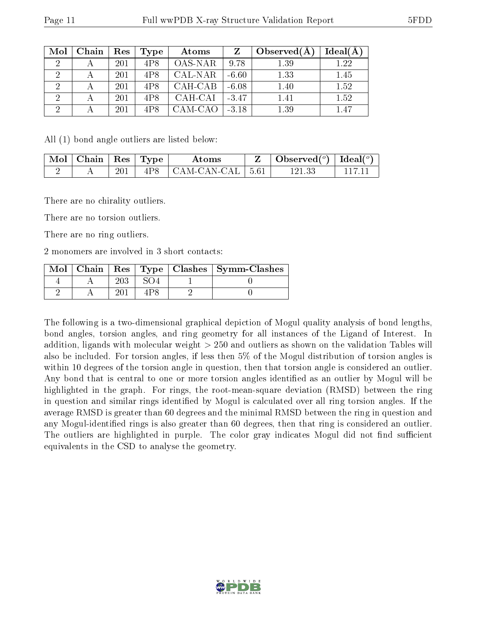| Mol            | Chain | Res | Type | Atoms   | Z       | Observed $(A)$ | $Ideal(\AA)$ |
|----------------|-------|-----|------|---------|---------|----------------|--------------|
| $\overline{2}$ |       | 201 | 4P8  | OAS-NAR | 9.78    | 1.39           | $1.22\,$     |
|                |       | 201 | 4P8  | CAL-NAR | $-6.60$ | 1.33           | 1.45         |
| 2              |       | 201 | 4P8  | CAH-CAB | $-6.08$ | 1.40           | 1.52         |
| $\mathcal{D}$  |       | 201 | 4P8  | CAH-CAI | $-3.47$ | 1.41           | 1.52         |
| ച              |       | 201 | 4P8  | CAM-CAO | $-3.18$ | 1.39           | 1.47         |

All (1) bond angle outliers are listed below:

| Mol | $\vert$ Chain $\vert$ Res $\vert$ |     | $\perp$ Type | Atoms                          | Observed( $^o$ )   Ideal( $^o$ ) |  |
|-----|-----------------------------------|-----|--------------|--------------------------------|----------------------------------|--|
|     |                                   | 201 | 4P8          | $\mid$ CAM-CAN-CAL $\mid$ 5.61 |                                  |  |

There are no chirality outliers.

There are no torsion outliers.

There are no ring outliers.

2 monomers are involved in 3 short contacts:

| $Mol$   Chain |  | Res   Type   Clashes   Symm-Clashes |
|---------------|--|-------------------------------------|
|               |  |                                     |
|               |  |                                     |

The following is a two-dimensional graphical depiction of Mogul quality analysis of bond lengths, bond angles, torsion angles, and ring geometry for all instances of the Ligand of Interest. In addition, ligands with molecular weight > 250 and outliers as shown on the validation Tables will also be included. For torsion angles, if less then 5% of the Mogul distribution of torsion angles is within 10 degrees of the torsion angle in question, then that torsion angle is considered an outlier. Any bond that is central to one or more torsion angles identified as an outlier by Mogul will be highlighted in the graph. For rings, the root-mean-square deviation (RMSD) between the ring in question and similar rings identified by Mogul is calculated over all ring torsion angles. If the average RMSD is greater than 60 degrees and the minimal RMSD between the ring in question and any Mogul-identied rings is also greater than 60 degrees, then that ring is considered an outlier. The outliers are highlighted in purple. The color gray indicates Mogul did not find sufficient equivalents in the CSD to analyse the geometry.

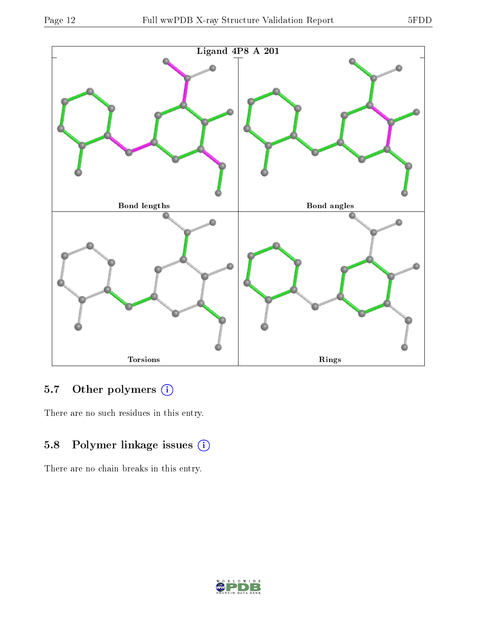

### 5.7 [O](https://www.wwpdb.org/validation/2017/XrayValidationReportHelp#nonstandard_residues_and_ligands)ther polymers (i)

There are no such residues in this entry.

## 5.8 Polymer linkage issues (i)

There are no chain breaks in this entry.

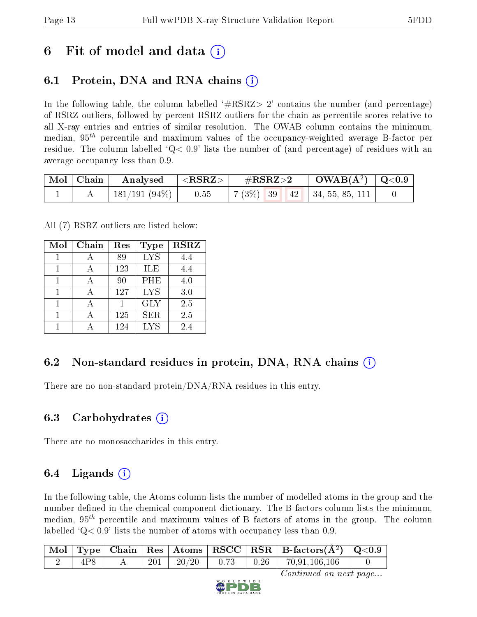## 6 Fit of model and data  $\left( \cdot \right)$

## 6.1 Protein, DNA and RNA chains (i)

In the following table, the column labelled  $#RSRZ>2'$  contains the number (and percentage) of RSRZ outliers, followed by percent RSRZ outliers for the chain as percentile scores relative to all X-ray entries and entries of similar resolution. The OWAB column contains the minimum, median,  $95<sup>th</sup>$  percentile and maximum values of the occupancy-weighted average B-factor per residue. The column labelled  $Q< 0.9$  lists the number of (and percentage) of residues with an average occupancy less than 0.9.

| $\vert$ Mol $\vert$ Chain $\vert$ | $\mid$ Analysed $\mid$ <rsrz> <math>\mid</math></rsrz> | $\rm \#RSRZ{>}2$ |  | $\text{OWAB}(\AA^2)$ $\mid$ Q<0.9 $\mid$ |  |
|-----------------------------------|--------------------------------------------------------|------------------|--|------------------------------------------|--|
|                                   | 181/191 (94%)   0.55                                   |                  |  | $\mid 7(3\%)$ 39 42 34, 55, 85, 111      |  |

All (7) RSRZ outliers are listed below:

| Mol | Chain | Res | Type       | <b>RSRZ</b> |
|-----|-------|-----|------------|-------------|
|     |       | 89  | <b>LYS</b> | 4.4         |
|     |       | 123 | ILE        | 4.4         |
| 1   |       | 90  | PHE        | 4.0         |
| 1   |       | 127 | <b>LYS</b> | 3.0         |
|     |       |     | <b>GLY</b> | 2.5         |
|     |       | 125 | <b>SER</b> | 2.5         |
|     |       | 124 | LYS        | 2.4         |

### 6.2 Non-standard residues in protein, DNA, RNA chains  $(i)$

There are no non-standard protein/DNA/RNA residues in this entry.

### 6.3 Carbohydrates  $(i)$

There are no monosaccharides in this entry.

## 6.4 Ligands  $(i)$

In the following table, the Atoms column lists the number of modelled atoms in the group and the number defined in the chemical component dictionary. The B-factors column lists the minimum, median,  $95<sup>th</sup>$  percentile and maximum values of B factors of atoms in the group. The column labelled  $Q< 0.9$ ' lists the number of atoms with occupancy less than 0.9.

|     |  |  | $\vert$ Mol $\vert$ Type $\vert$ Chain $\vert$ Res $\vert$ Atoms $\vert$ RSCC $\vert$ RSR $\vert$ B-factors(A <sup>2</sup> ) $\vert$ Q<0.9 |  |
|-----|--|--|--------------------------------------------------------------------------------------------------------------------------------------------|--|
| 4P8 |  |  | $201$   $20/20$   0.73   0.26   70,91,106,106                                                                                              |  |

Continued on next page...